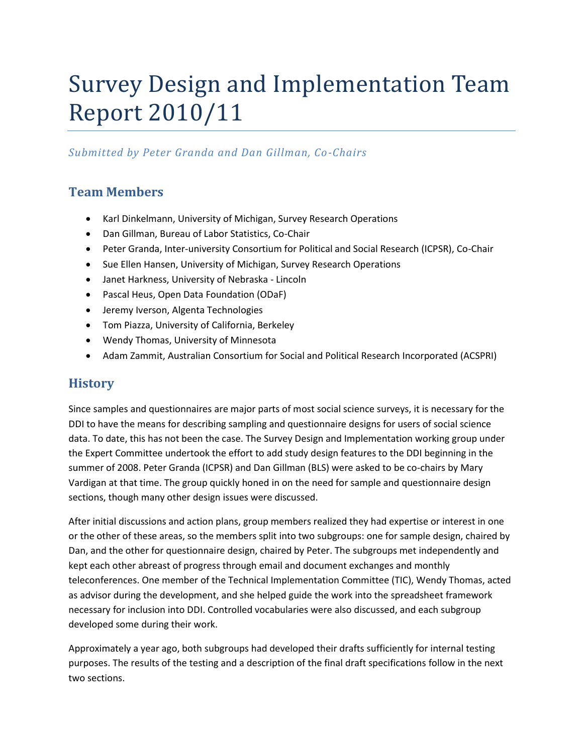# Survey Design and Implementation Team Report 2010/11

### *Submitted by Peter Granda and Dan Gillman, Co-Chairs*

# **Team Members**

- Karl Dinkelmann, University of Michigan, Survey Research Operations
- Dan Gillman, Bureau of Labor Statistics, Co-Chair
- Peter Granda, Inter-university Consortium for Political and Social Research (ICPSR), Co-Chair
- Sue Ellen Hansen, University of Michigan, Survey Research Operations
- Janet Harkness, University of Nebraska Lincoln
- Pascal Heus, Open Data Foundation (ODaF)
- **•** Jeremy Iverson, Algenta Technologies
- Tom Piazza, University of California, Berkeley
- Wendy Thomas, University of Minnesota
- Adam Zammit, Australian Consortium for Social and Political Research Incorporated (ACSPRI)

## **History**

Since samples and questionnaires are major parts of most social science surveys, it is necessary for the DDI to have the means for describing sampling and questionnaire designs for users of social science data. To date, this has not been the case. The Survey Design and Implementation working group under the Expert Committee undertook the effort to add study design features to the DDI beginning in the summer of 2008. Peter Granda (ICPSR) and Dan Gillman (BLS) were asked to be co-chairs by Mary Vardigan at that time. The group quickly honed in on the need for sample and questionnaire design sections, though many other design issues were discussed.

After initial discussions and action plans, group members realized they had expertise or interest in one or the other of these areas, so the members split into two subgroups: one for sample design, chaired by Dan, and the other for questionnaire design, chaired by Peter. The subgroups met independently and kept each other abreast of progress through email and document exchanges and monthly teleconferences. One member of the Technical Implementation Committee (TIC), Wendy Thomas, acted as advisor during the development, and she helped guide the work into the spreadsheet framework necessary for inclusion into DDI. Controlled vocabularies were also discussed, and each subgroup developed some during their work.

Approximately a year ago, both subgroups had developed their drafts sufficiently for internal testing purposes. The results of the testing and a description of the final draft specifications follow in the next two sections.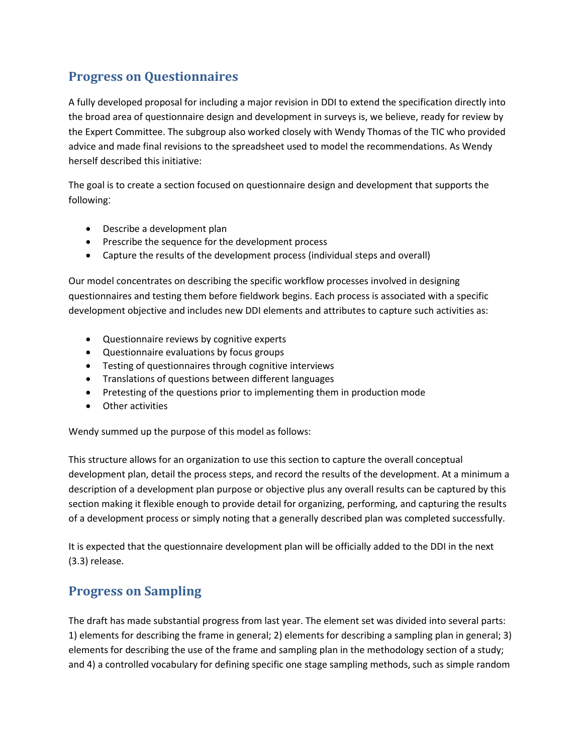# **Progress on Questionnaires**

A fully developed proposal for including a major revision in DDI to extend the specification directly into the broad area of questionnaire design and development in surveys is, we believe, ready for review by the Expert Committee. The subgroup also worked closely with Wendy Thomas of the TIC who provided advice and made final revisions to the spreadsheet used to model the recommendations. As Wendy herself described this initiative:

The goal is to create a section focused on questionnaire design and development that supports the following:

- Describe a development plan
- Prescribe the sequence for the development process
- Capture the results of the development process (individual steps and overall)

Our model concentrates on describing the specific workflow processes involved in designing questionnaires and testing them before fieldwork begins. Each process is associated with a specific development objective and includes new DDI elements and attributes to capture such activities as:

- Questionnaire reviews by cognitive experts
- Questionnaire evaluations by focus groups
- Testing of questionnaires through cognitive interviews
- Translations of questions between different languages
- Pretesting of the questions prior to implementing them in production mode
- Other activities

Wendy summed up the purpose of this model as follows:

This structure allows for an organization to use this section to capture the overall conceptual development plan, detail the process steps, and record the results of the development. At a minimum a description of a development plan purpose or objective plus any overall results can be captured by this section making it flexible enough to provide detail for organizing, performing, and capturing the results of a development process or simply noting that a generally described plan was completed successfully.

It is expected that the questionnaire development plan will be officially added to the DDI in the next (3.3) release.

### **Progress on Sampling**

The draft has made substantial progress from last year. The element set was divided into several parts: 1) elements for describing the frame in general; 2) elements for describing a sampling plan in general; 3) elements for describing the use of the frame and sampling plan in the methodology section of a study; and 4) a controlled vocabulary for defining specific one stage sampling methods, such as simple random